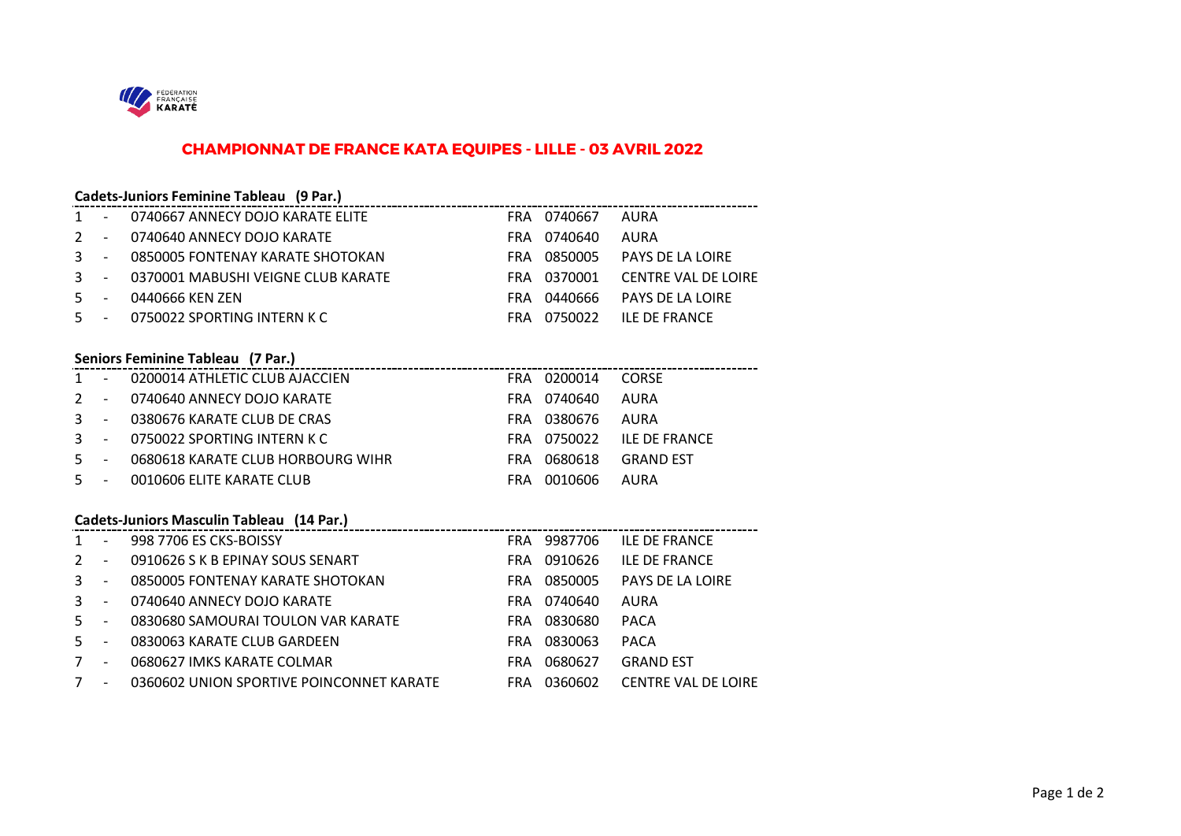

## **CHAMPIONNAT DE FRANCE KATA EQUIPES - LILLE - 03 AVRIL 2022**

### **Cadets-Juniors Feminine Tableau (9 Par.)**

|  | 1 - 0740667 ANNECY DOJO KARATE ELITE   | FRA 0740667 AURA |                                 |
|--|----------------------------------------|------------------|---------------------------------|
|  | 2 - 0740640 ANNECY DOJO KARATE         | FRA 0740640 AURA |                                 |
|  | 3 - 0850005 FONTENAY KARATE SHOTOKAN   |                  | FRA 0850005 PAYS DE LA LOIRE    |
|  | 3 - 0370001 MABUSHI VEIGNE CLUB KARATE |                  | FRA 0370001 CENTRE VAL DE LOIRE |
|  | 5 - 0440666 KEN ZEN                    |                  | FRA 0440666 PAYS DE LA LOIRE    |
|  | 5 - 0750022 SPORTING INTERN K C        |                  | FRA 0750022 ILE DE FRANCE       |

### **Seniors Feminine Tableau (7 Par.)**

|       | 1 - 0200014 ATHLETIC CLUB AJACCIEN |      | FRA 0200014 CORSE |                           |
|-------|------------------------------------|------|-------------------|---------------------------|
|       | 2 - 0740640 ANNECY DOJO KARATE     |      | FRA 0740640       | AURA                      |
|       | 3 - 0380676 KARATE CLUB DE CRAS    |      | FRA 0380676       | AURA                      |
|       | 3 - 0750022 SPORTING INTERN K C    |      |                   | FRA 0750022 ILE DE FRANCE |
| $5 -$ | 0680618 KARATE CLUB HORBOURG WIHR  |      | FRA 0680618       | <b>GRAND EST</b>          |
| $5 -$ | 0010606 ELITE KARATE CLUB          | FRA. | 0010606           | AURA                      |

## **Cadets-Juniors Masculin Tableau (14 Par.)**

| $\mathbf{1}$   | $\sim$         | 998 7706 ES CKS-BOISSY                   | FRA        | 9987706     | <b>ILE DE FRANCE</b>       |
|----------------|----------------|------------------------------------------|------------|-------------|----------------------------|
| $\overline{2}$ | $\overline{a}$ | 0910626 S K B EPINAY SOUS SENART         | FRA        | 0910626     | <b>ILE DE FRANCE</b>       |
| $3 - 1$        |                | 0850005 FONTENAY KARATE SHOTOKAN         | FRA        | 0850005     | PAYS DE LA LOIRE           |
| $3 - -$        |                | 0740640 ANNECY DOJO KARATE               |            | FRA 0740640 | AURA                       |
| $5 - -$        |                | 0830680 SAMOURAI TOULON VAR KARATE       |            | FRA 0830680 | <b>PACA</b>                |
| $5 - 5$        |                | 0830063 KARATE CLUB GARDEEN              | FRA        | 0830063     | PACA                       |
| 7              | $\overline{a}$ | 0680627 IMKS KARATE COLMAR               | <b>FRA</b> | 0680627     | <b>GRAND EST</b>           |
| $7^{\circ}$    | $\sim$         | 0360602 UNION SPORTIVE POINCONNET KARATE | FRA        | 0360602     | <b>CENTRE VAL DE LOIRE</b> |
|                |                |                                          |            |             |                            |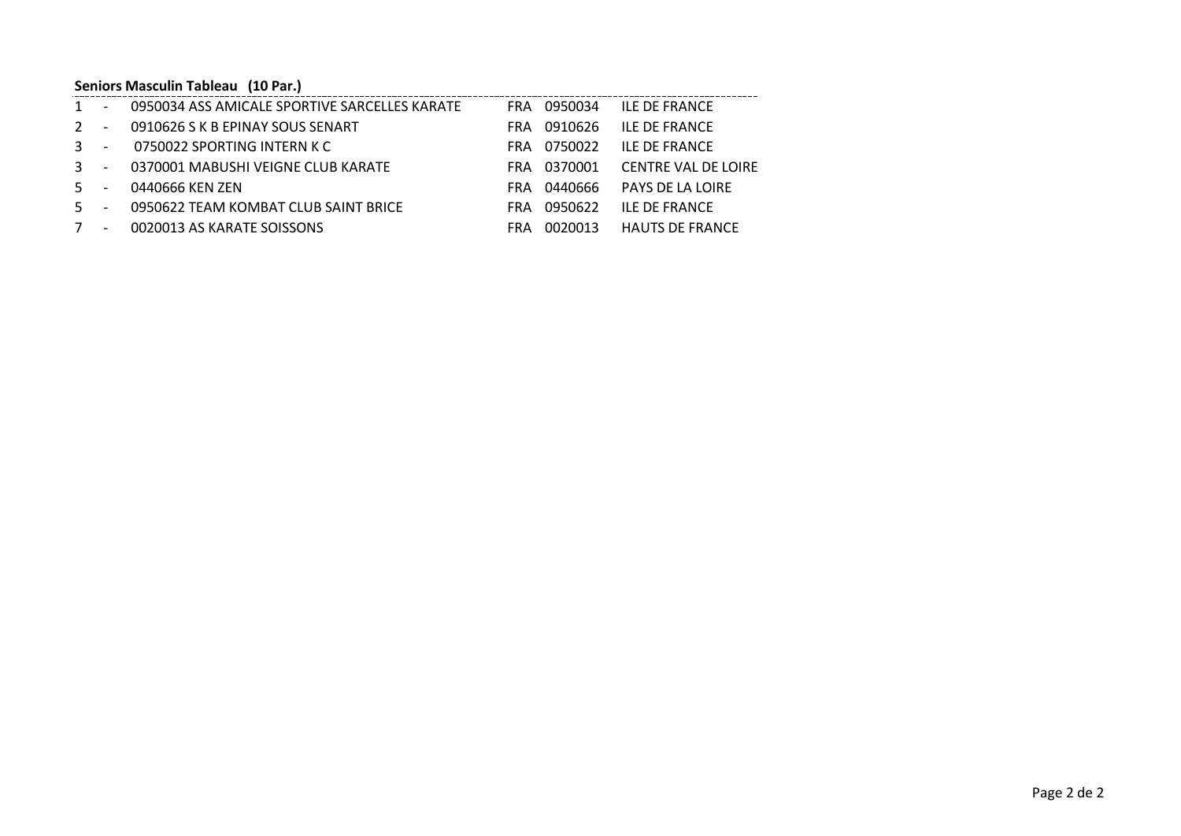# **Seniors Masculin Tableau (10 Par.)**

| $\mathbf{1}$ | $\sim$                   | - 0950034 ASS AMICALE SPORTIVE SARCELLES KARATE |            | FRA 0950034 | <b>ILE DE FRANCE</b>       |
|--------------|--------------------------|-------------------------------------------------|------------|-------------|----------------------------|
| $2 -$        |                          | 0910626 S K B EPINAY SOUS SENART                | FRA        | 0910626     | <b>ILE DE FRANCE</b>       |
| $3 -$        |                          | 0750022 SPORTING INTERN K C                     |            | FRA 0750022 | <b>ILE DE FRANCE</b>       |
| $3 - -$      |                          | 0370001 MABUSHI VEIGNE CLUB KARATE              |            | FRA 0370001 | <b>CENTRE VAL DE LOIRE</b> |
| $5 -$        |                          | 0440666 KEN ZEN                                 |            | FRA 0440666 | PAYS DE LA LOIRE           |
| $5 -$        |                          | 0950622 TEAM KOMBAT CLUB SAINT BRICE            | FRA        | 0950622     | <b>ILE DE FRANCE</b>       |
| 7            | $\overline{\phantom{a}}$ | 0020013 AS KARATE SOISSONS                      | <b>FRA</b> | 0020013     | HAUTS DE FRANCE            |
|              |                          |                                                 |            |             |                            |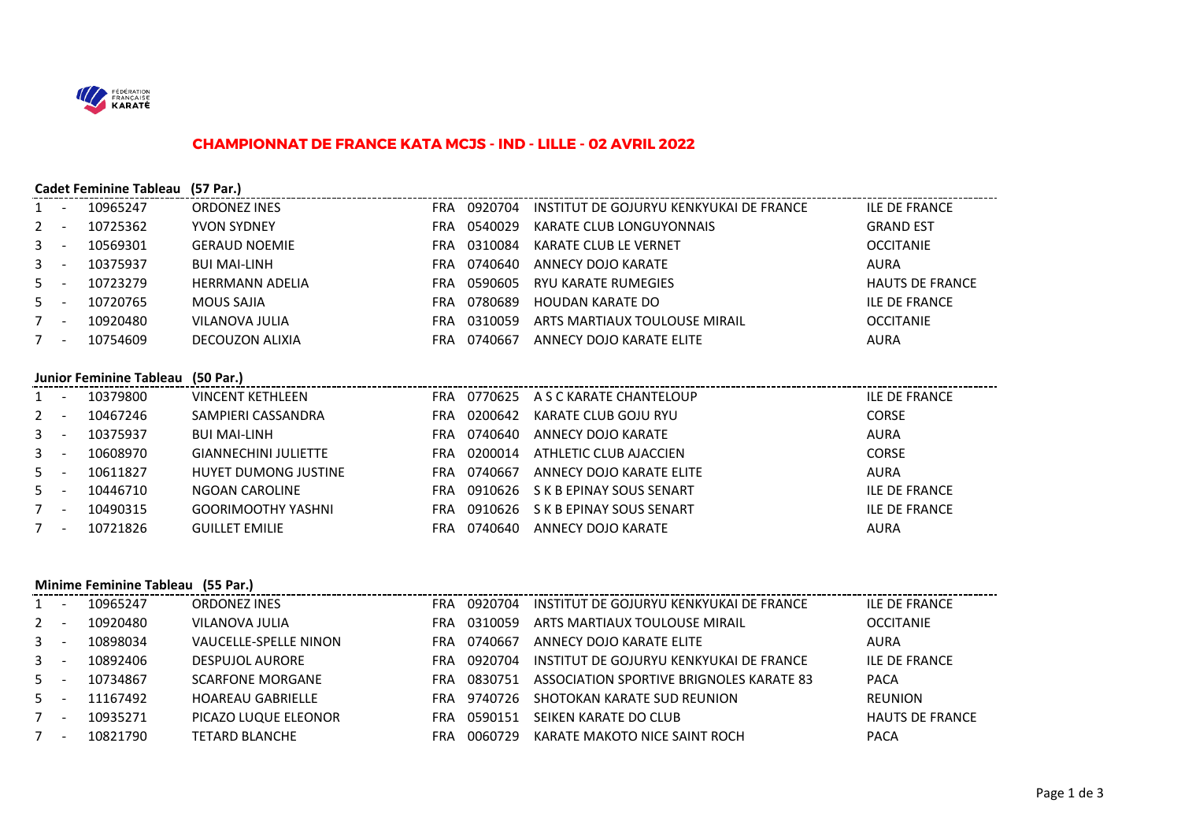

#### **CHAMPIONNAT DE FRANCE KATA MCJS - IND - LILLE - 02 AVRIL 2022**

|              |                          | <b>Cadet Feminine Tableau</b> | (57 Par.)              |            |         |                                         |                        |
|--------------|--------------------------|-------------------------------|------------------------|------------|---------|-----------------------------------------|------------------------|
|              | и,                       | 10965247                      | <b>ORDONEZ INES</b>    | <b>FRA</b> | 0920704 | INSTITUT DE GOJURYU KENKYUKAI DE FRANCE | <b>ILE DE FRANCE</b>   |
| $2^{\circ}$  | $\sim$                   | 10725362                      | <b>YVON SYDNEY</b>     | <b>FRA</b> | 0540029 | KARATE CLUB LONGUYONNAIS                | <b>GRAND EST</b>       |
| $\mathbf{3}$ | - -                      | 10569301                      | <b>GERAUD NOEMIE</b>   | <b>FRA</b> | 0310084 | KARATE CLUB LE VERNET                   | <b>OCCITANIE</b>       |
| $\mathbf{3}$ | - -                      | 10375937                      | <b>BUI MAI-LINH</b>    | <b>FRA</b> | 0740640 | ANNECY DOJO KARATE                      | AURA                   |
| $5 -$        |                          | 10723279                      | <b>HERRMANN ADELIA</b> | <b>FRA</b> | 0590605 | RYU KARATE RUMEGIES                     | <b>HAUTS DE FRANCE</b> |
| $5 -$        |                          | 10720765                      | <b>MOUS SAJIA</b>      | <b>FRA</b> | 0780689 | HOUDAN KARATE DO                        | <b>ILE DE FRANCE</b>   |
|              | $\overline{\phantom{a}}$ | 10920480                      | VILANOVA JULIA         | <b>FRA</b> | 0310059 | ARTS MARTIAUX TOULOUSE MIRAIL           | <b>OCCITANIE</b>       |
|              | $\overline{\phantom{a}}$ | 10754609                      | DECOUZON ALIXIA        | <b>FRA</b> | 0740667 | ANNECY DOJO KARATE ELITE                | <b>AURA</b>            |
|              |                          |                               |                        |            |         |                                         |                        |

## **Junior Feminine Tableau (50 Par.)**

|       | $J$ . The state of $J$ is the state of $J$ |                             |            |         |                                  |                      |
|-------|--------------------------------------------|-----------------------------|------------|---------|----------------------------------|----------------------|
| $1 -$ | 10379800                                   | <b>VINCENT KETHLEEN</b>     | <b>FRA</b> |         | 0770625 A S C KARATE CHANTELOUP  | ILE DE FRANCE        |
| $2 -$ | 10467246                                   | SAMPIERI CASSANDRA          | <b>FRA</b> | 0200642 | KARATE CLUB GOJU RYU             | <b>CORSE</b>         |
| $3 -$ | 10375937                                   | <b>BUI MAI-LINH</b>         | <b>FRA</b> | 0740640 | ANNECY DOJO KARATE               | <b>AURA</b>          |
| $3 -$ | 10608970                                   | <b>GIANNECHINI JULIETTE</b> | <b>FRA</b> | 0200014 | ATHLETIC CLUB AJACCIEN           | <b>CORSE</b>         |
| $5 -$ | 10611827                                   | HUYET DUMONG JUSTINE        | <b>FRA</b> | 0740667 | ANNECY DOJO KARATE ELITE         | <b>AURA</b>          |
| $5 -$ | 10446710                                   | NGOAN CAROLINE              | <b>FRA</b> |         | 0910626 S K B EPINAY SOUS SENART | <b>ILE DE FRANCE</b> |
| $7 -$ | 10490315                                   | <b>GOORIMOOTHY YASHNI</b>   | <b>FRA</b> |         | 0910626 S K B EPINAY SOUS SENART | <b>ILE DE FRANCE</b> |
| $7 -$ | 10721826                                   | <b>GUILLET EMILIE</b>       | FRA        | 0740640 | ANNECY DOJO KARATE               | AURA                 |

#### **Minime Feminine Tableau (55 Par.)**

|       | $\sim$ | 10965247 | <b>ORDONEZ INES</b>          | <b>FRA</b> | 0920704 | INSTITUT DE GOJURYU KENKYUKAI DE FRANCE  | <b>ILE DE FRANCE</b>   |
|-------|--------|----------|------------------------------|------------|---------|------------------------------------------|------------------------|
| $2 -$ |        | 10920480 | VILANOVA JULIA               | <b>FRA</b> | 0310059 | ARTS MARTIAUX TOULOUSE MIRAIL            | <b>OCCITANIE</b>       |
| $3 -$ |        | 10898034 | <b>VAUCELLE-SPELLE NINON</b> | FRA        | 0740667 | ANNECY DOJO KARATE ELITE                 | <b>AURA</b>            |
| $3 -$ |        | 10892406 | DESPUJOL AURORE              | FRA        | 0920704 | INSTITUT DE GOJURYU KENKYUKAI DE FRANCE  | <b>ILE DE FRANCE</b>   |
| $5 -$ |        | 10734867 | <b>SCARFONE MORGANE</b>      | FRA        | 0830751 | ASSOCIATION SPORTIVE BRIGNOLES KARATE 83 | <b>PACA</b>            |
| $5 -$ |        | 11167492 | <b>HOAREAU GABRIELLE</b>     | FRA        | 9740726 | SHOTOKAN KARATE SUD REUNION              | <b>REUNION</b>         |
|       | $\sim$ | 10935271 | PICAZO LUQUE ELEONOR         | <b>FRA</b> | 0590151 | SEIKEN KARATE DO CLUB                    | <b>HAUTS DE FRANCE</b> |
|       | $\sim$ | 10821790 | TETARD BLANCHE               | FRA        | 0060729 | KARATE MAKOTO NICE SAINT ROCH            | <b>PACA</b>            |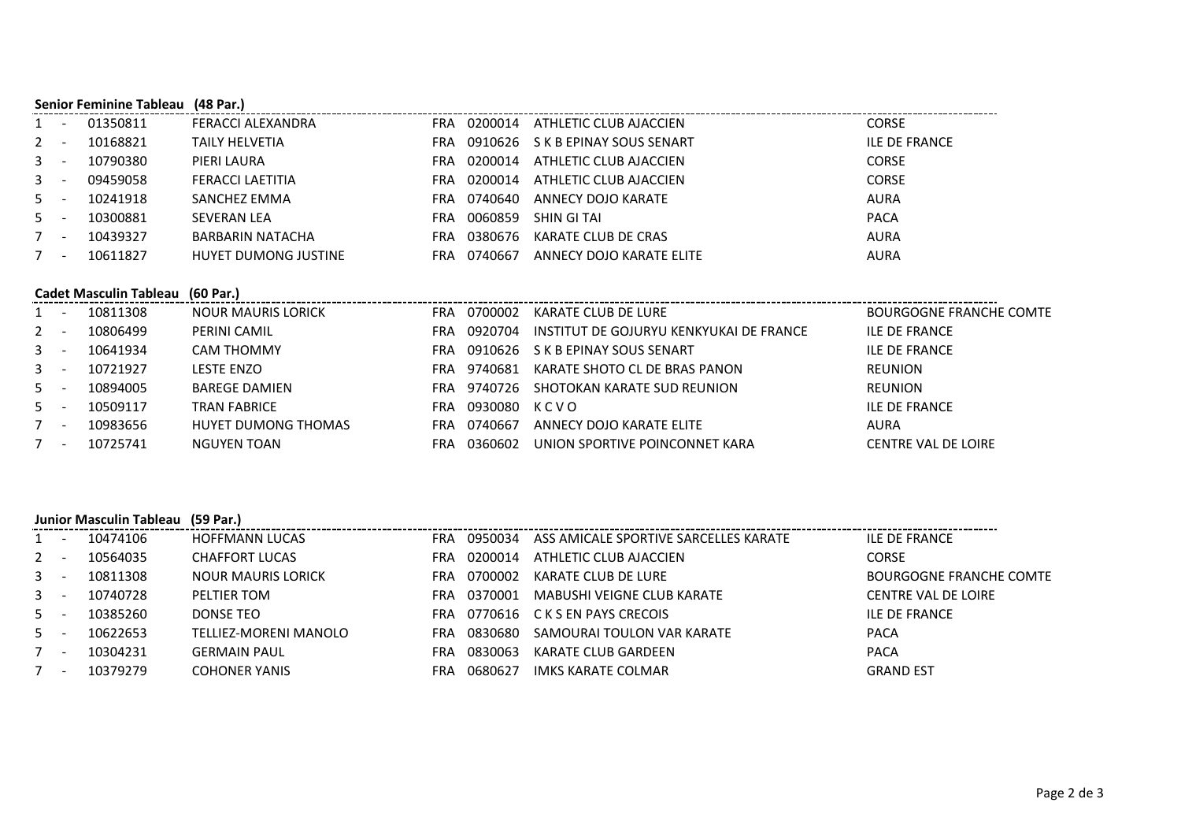|             |                          | <b>Senior Feminine Tableau</b> | (48 Par.)            |            |         |                          |                      |  |  |  |
|-------------|--------------------------|--------------------------------|----------------------|------------|---------|--------------------------|----------------------|--|--|--|
| 1           | $\overline{\phantom{a}}$ | 01350811                       | FERACCI ALEXANDRA    | <b>FRA</b> | 0200014 | ATHLETIC CLUB AJACCIEN   | <b>CORSE</b>         |  |  |  |
| $2 -$       |                          | 10168821                       | TAILY HELVETIA       | FRA        | 0910626 | S K B EPINAY SOUS SENART | <b>ILE DE FRANCE</b> |  |  |  |
| $3 -$       |                          | 10790380                       | PIERI LAURA          | FRA        | 0200014 | ATHLETIC CLUB AJACCIEN   | <b>CORSE</b>         |  |  |  |
| $3 -$       |                          | 09459058                       | FERACCI LAETITIA     | FRA        | 0200014 | ATHLETIC CLUB AJACCIEN   | <b>CORSE</b>         |  |  |  |
| $5 -$       |                          | 10241918                       | SANCHEZ EMMA         | FRA        | 0740640 | ANNECY DOJO KARATE       | <b>AURA</b>          |  |  |  |
| $5 -$       |                          | 10300881                       | <b>SEVERAN LEA</b>   | FRA        | 0060859 | SHIN GI TAI              | <b>PACA</b>          |  |  |  |
| $7^{\circ}$ | $\overline{\phantom{a}}$ | 10439327                       | BARBARIN NATACHA     | FRA        | 0380676 | KARATE CLUB DE CRAS      | <b>AURA</b>          |  |  |  |
|             | $\overline{\phantom{a}}$ | 10611827                       | HUYET DUMONG JUSTINE | FRA        | 0740667 | ANNECY DOJO KARATE ELITE | <b>AURA</b>          |  |  |  |

#### **Cadet Masculin Tableau (60 Par.)**

|              | <u>. на т</u>            | 10811308 | <b>NOUR MAURIS LORICK</b> | FRA        | 0700002 | KARATE CLUB DE LURE                     | BOURGOGNE FRANCHE COMTE    |
|--------------|--------------------------|----------|---------------------------|------------|---------|-----------------------------------------|----------------------------|
| $2 -$        |                          | 10806499 | PERINI CAMIL              | FRA        | 0920704 | INSTITUT DE GOJURYU KENKYUKAI DE FRANCE | <b>ILE DE FRANCE</b>       |
| $3 -$        |                          | 10641934 | CAM THOMMY                | FRA        | 0910626 | S K B EPINAY SOUS SENART                | <b>ILE DE FRANCE</b>       |
| $\mathbf{3}$ | $\overline{\phantom{a}}$ | 10721927 | <b>LESTE ENZO</b>         | FRA        | 9740681 | KARATE SHOTO CL DE BRAS PANON           | REUNION                    |
| $5 -$        |                          | 10894005 | <b>BAREGE DAMIEN</b>      | FRA        | 9740726 | SHOTOKAN KARATE SUD REUNION             | REUNION                    |
| $5 -$        |                          | 10509117 | <b>TRAN FABRICE</b>       | FRA        | 0930080 | KCVO                                    | <b>ILE DE FRANCE</b>       |
|              | -                        | 10983656 | HUYET DUMONG THOMAS       | <b>FRA</b> | 0740667 | ANNECY DOJO KARATE ELITE                | AURA                       |
|              | . .                      | 10725741 | NGUYEN TOAN               | FRA        | 0360602 | UNION SPORTIVE POINCONNET KARA          | <b>CENTRE VAL DE LOIRE</b> |

### **Junior Masculin Tableau (59 Par.)**

| $1 -$ |     | 10474106 | <b>HOFFMANN LUCAS</b>     | <b>FRA</b> | 0950034 | ASS AMICALE SPORTIVE SARCELLES KARATE | <b>ILE DE FRANCE</b>           |
|-------|-----|----------|---------------------------|------------|---------|---------------------------------------|--------------------------------|
| $2 -$ |     | 10564035 | <b>CHAFFORT LUCAS</b>     | FRA        | 0200014 | ATHLETIC CLUB AJACCIEN                | <b>CORSE</b>                   |
| $3 -$ |     | 10811308 | <b>NOUR MAURIS LORICK</b> | FRA        | 0700002 | KARATE CLUB DE LURE                   | <b>BOURGOGNE FRANCHE COMTE</b> |
| $3 -$ |     | 10740728 | PELTIER TOM               | FRA        | 0370001 | MABUSHI VEIGNE CLUB KARATE            | CENTRE VAL DE LOIRE            |
| $5 -$ |     | 10385260 | DONSE TEO                 | <b>FRA</b> |         | 0770616 C K S EN PAYS CRECOIS         | <b>ILE DE FRANCE</b>           |
| $5 -$ |     | 10622653 | TELLIEZ-MORENI MANOLO     | <b>FRA</b> | 0830680 | SAMOURAI TOULON VAR KARATE            | <b>PACA</b>                    |
| $7 -$ |     | 10304231 | <b>GERMAIN PAUL</b>       | FRA        | 0830063 | KARATE CLUB GARDEEN                   | <b>PACA</b>                    |
|       | . — | 10379279 | <b>COHONER YANIS</b>      | FRA        | 0680627 | IMKS KARATE COLMAR                    | <b>GRAND EST</b>               |